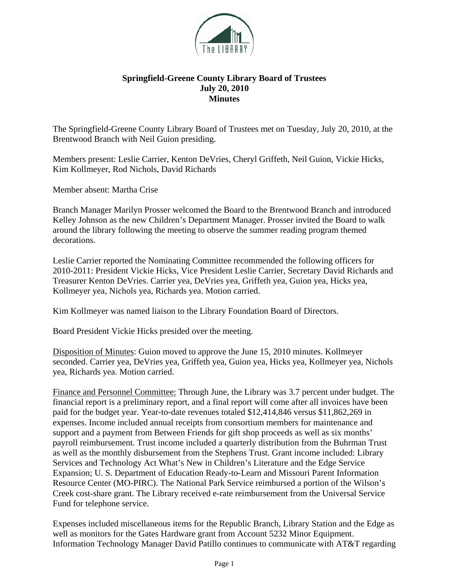

## **Springfield-Greene County Library Board of Trustees July 20, 2010 Minutes**

The Springfield-Greene County Library Board of Trustees met on Tuesday, July 20, 2010, at the Brentwood Branch with Neil Guion presiding.

Members present: Leslie Carrier, Kenton DeVries, Cheryl Griffeth, Neil Guion, Vickie Hicks, Kim Kollmeyer, Rod Nichols, David Richards

Member absent: Martha Crise

Branch Manager Marilyn Prosser welcomed the Board to the Brentwood Branch and introduced Kelley Johnson as the new Children's Department Manager. Prosser invited the Board to walk around the library following the meeting to observe the summer reading program themed decorations.

Leslie Carrier reported the Nominating Committee recommended the following officers for 2010-2011: President Vickie Hicks, Vice President Leslie Carrier, Secretary David Richards and Treasurer Kenton DeVries. Carrier yea, DeVries yea, Griffeth yea, Guion yea, Hicks yea, Kollmeyer yea, Nichols yea, Richards yea. Motion carried.

Kim Kollmeyer was named liaison to the Library Foundation Board of Directors.

Board President Vickie Hicks presided over the meeting.

Disposition of Minutes: Guion moved to approve the June 15, 2010 minutes. Kollmeyer seconded. Carrier yea, DeVries yea, Griffeth yea, Guion yea, Hicks yea, Kollmeyer yea, Nichols yea, Richards yea. Motion carried.

Finance and Personnel Committee: Through June, the Library was 3.7 percent under budget. The financial report is a preliminary report, and a final report will come after all invoices have been paid for the budget year. Year-to-date revenues totaled \$12,414,846 versus \$11,862,269 in expenses. Income included annual receipts from consortium members for maintenance and support and a payment from Between Friends for gift shop proceeds as well as six months' payroll reimbursement. Trust income included a quarterly distribution from the Buhrman Trust as well as the monthly disbursement from the Stephens Trust. Grant income included: Library Services and Technology Act What's New in Children's Literature and the Edge Service Expansion; U. S. Department of Education Ready-to-Learn and Missouri Parent Information Resource Center (MO-PIRC). The National Park Service reimbursed a portion of the Wilson's Creek cost-share grant. The Library received e-rate reimbursement from the Universal Service Fund for telephone service.

Expenses included miscellaneous items for the Republic Branch, Library Station and the Edge as well as monitors for the Gates Hardware grant from Account 5232 Minor Equipment. Information Technology Manager David Patillo continues to communicate with AT&T regarding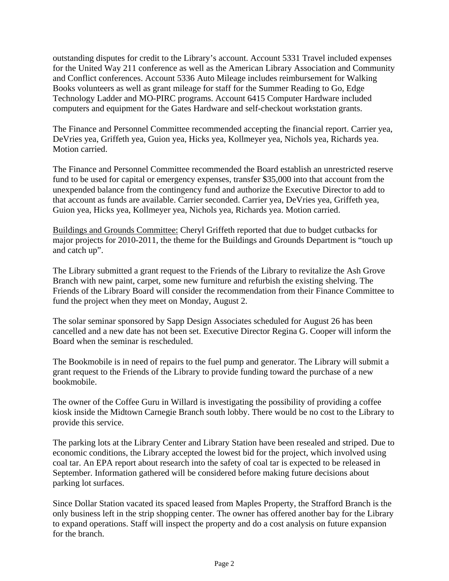outstanding disputes for credit to the Library's account. Account 5331 Travel included expenses for the United Way 211 conference as well as the American Library Association and Community and Conflict conferences. Account 5336 Auto Mileage includes reimbursement for Walking Books volunteers as well as grant mileage for staff for the Summer Reading to Go, Edge Technology Ladder and MO-PIRC programs. Account 6415 Computer Hardware included computers and equipment for the Gates Hardware and self-checkout workstation grants.

The Finance and Personnel Committee recommended accepting the financial report. Carrier yea, DeVries yea, Griffeth yea, Guion yea, Hicks yea, Kollmeyer yea, Nichols yea, Richards yea. Motion carried.

The Finance and Personnel Committee recommended the Board establish an unrestricted reserve fund to be used for capital or emergency expenses, transfer \$35,000 into that account from the unexpended balance from the contingency fund and authorize the Executive Director to add to that account as funds are available. Carrier seconded. Carrier yea, DeVries yea, Griffeth yea, Guion yea, Hicks yea, Kollmeyer yea, Nichols yea, Richards yea. Motion carried.

Buildings and Grounds Committee: Cheryl Griffeth reported that due to budget cutbacks for major projects for 2010-2011, the theme for the Buildings and Grounds Department is "touch up and catch up".

The Library submitted a grant request to the Friends of the Library to revitalize the Ash Grove Branch with new paint, carpet, some new furniture and refurbish the existing shelving. The Friends of the Library Board will consider the recommendation from their Finance Committee to fund the project when they meet on Monday, August 2.

The solar seminar sponsored by Sapp Design Associates scheduled for August 26 has been cancelled and a new date has not been set. Executive Director Regina G. Cooper will inform the Board when the seminar is rescheduled.

The Bookmobile is in need of repairs to the fuel pump and generator. The Library will submit a grant request to the Friends of the Library to provide funding toward the purchase of a new bookmobile.

The owner of the Coffee Guru in Willard is investigating the possibility of providing a coffee kiosk inside the Midtown Carnegie Branch south lobby. There would be no cost to the Library to provide this service.

The parking lots at the Library Center and Library Station have been resealed and striped. Due to economic conditions, the Library accepted the lowest bid for the project, which involved using coal tar. An EPA report about research into the safety of coal tar is expected to be released in September. Information gathered will be considered before making future decisions about parking lot surfaces.

Since Dollar Station vacated its spaced leased from Maples Property, the Strafford Branch is the only business left in the strip shopping center. The owner has offered another bay for the Library to expand operations. Staff will inspect the property and do a cost analysis on future expansion for the branch.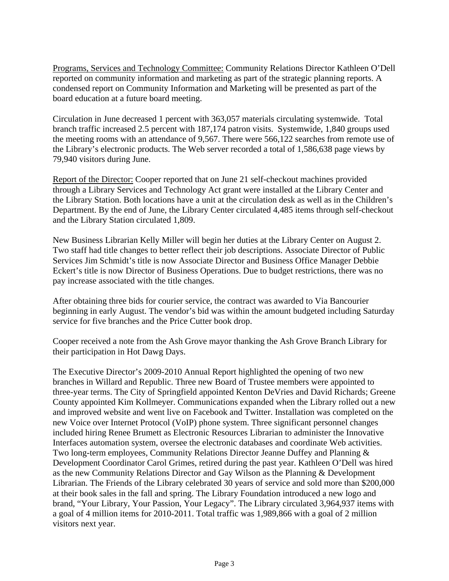Programs, Services and Technology Committee: Community Relations Director Kathleen O'Dell reported on community information and marketing as part of the strategic planning reports. A condensed report on Community Information and Marketing will be presented as part of the board education at a future board meeting.

Circulation in June decreased 1 percent with 363,057 materials circulating systemwide. Total branch traffic increased 2.5 percent with 187,174 patron visits. Systemwide, 1,840 groups used the meeting rooms with an attendance of 9,567. There were 566,122 searches from remote use of the Library's electronic products. The Web server recorded a total of 1,586,638 page views by 79,940 visitors during June.

Report of the Director: Cooper reported that on June 21 self-checkout machines provided through a Library Services and Technology Act grant were installed at the Library Center and the Library Station. Both locations have a unit at the circulation desk as well as in the Children's Department. By the end of June, the Library Center circulated 4,485 items through self-checkout and the Library Station circulated 1,809.

New Business Librarian Kelly Miller will begin her duties at the Library Center on August 2. Two staff had title changes to better reflect their job descriptions. Associate Director of Public Services Jim Schmidt's title is now Associate Director and Business Office Manager Debbie Eckert's title is now Director of Business Operations. Due to budget restrictions, there was no pay increase associated with the title changes.

After obtaining three bids for courier service, the contract was awarded to Via Bancourier beginning in early August. The vendor's bid was within the amount budgeted including Saturday service for five branches and the Price Cutter book drop.

Cooper received a note from the Ash Grove mayor thanking the Ash Grove Branch Library for their participation in Hot Dawg Days.

The Executive Director's 2009-2010 Annual Report highlighted the opening of two new branches in Willard and Republic. Three new Board of Trustee members were appointed to three-year terms. The City of Springfield appointed Kenton DeVries and David Richards; Greene County appointed Kim Kollmeyer. Communications expanded when the Library rolled out a new and improved website and went live on Facebook and Twitter. Installation was completed on the new Voice over Internet Protocol (VoIP) phone system. Three significant personnel changes included hiring Renee Brumett as Electronic Resources Librarian to administer the Innovative Interfaces automation system, oversee the electronic databases and coordinate Web activities. Two long-term employees, Community Relations Director Jeanne Duffey and Planning & Development Coordinator Carol Grimes, retired during the past year. Kathleen O'Dell was hired as the new Community Relations Director and Gay Wilson as the Planning & Development Librarian. The Friends of the Library celebrated 30 years of service and sold more than \$200,000 at their book sales in the fall and spring. The Library Foundation introduced a new logo and brand, "Your Library, Your Passion, Your Legacy". The Library circulated 3,964,937 items with a goal of 4 million items for 2010-2011. Total traffic was 1,989,866 with a goal of 2 million visitors next year.